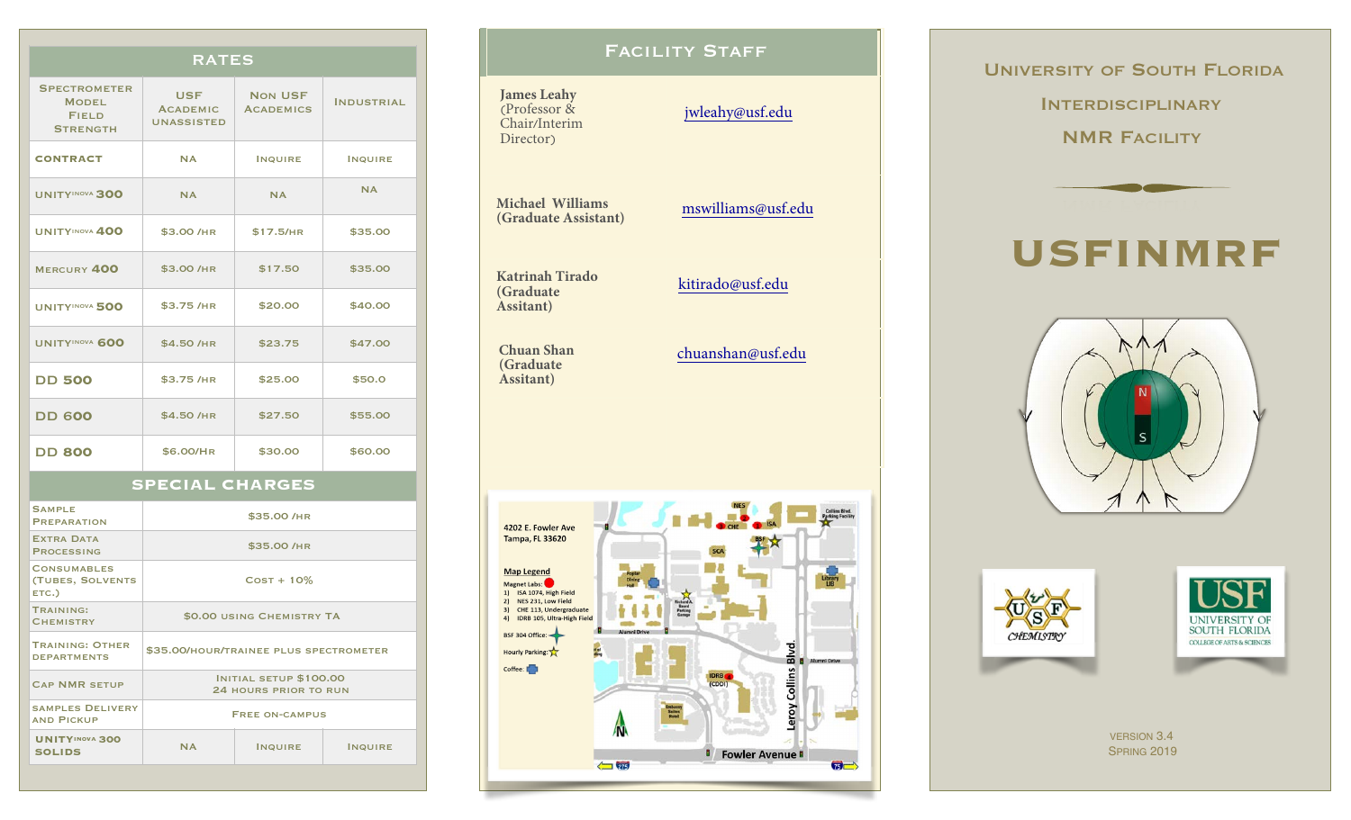#### RATES

| <b>SPECTROMETER</b><br><b>MODEL</b><br><b>FIELD</b><br><b>STRENGTH</b> | <b>USF</b><br><b>ACADEMIC</b><br><b>UNASSISTED</b> | <b>NON USF</b><br><b>ACADEMICS</b> | <b>INDUSTRIAL</b> |
|------------------------------------------------------------------------|----------------------------------------------------|------------------------------------|-------------------|
| <b>CONTRACT</b>                                                        | <b>NA</b>                                          | <b>INQUIRE</b>                     | <b>INQUIRE</b>    |
| <b>UNITYINOVA 300</b>                                                  | <b>NA</b>                                          | <b>NA</b>                          | <b>NA</b>         |
| <b>UNITYINOVA 400</b>                                                  | \$3.00 /HR                                         | \$17.5/HR                          | \$35.00           |
| MERCURY 400                                                            | \$3.00 /HR                                         | \$17.50                            | \$35.00           |
| <b>UNITYINOVA 500</b>                                                  | \$3.75 /HR                                         | \$20.00                            | \$40.00           |
| <b>UNITYINOVA 600</b>                                                  | \$4.50 /HR                                         | \$23.75                            | \$47.00           |
| <b>DD 500</b>                                                          | \$3.75 /HR                                         | \$25.00                            | \$50.0            |
| <b>DD 600</b>                                                          | \$4.50 /HR                                         | \$27.50                            | \$55.00           |
| <b>DD 800</b>                                                          | \$6.00/HR                                          | \$30.00                            | \$60.00           |

### **SPECIAL CHARGES**

| <b>SAMPLE</b><br><b>PREPARATION</b>             | \$35.00 /HR                                     |                |                |  |
|-------------------------------------------------|-------------------------------------------------|----------------|----------------|--|
| <b>EXTRA DATA</b><br><b>PROCESSING</b>          | \$35.00 /HR                                     |                |                |  |
| <b>CONSUMABLES</b><br>(TUBES, SOLVENTS<br>ETC.) | $Cost + 10\%$                                   |                |                |  |
| TRAINING:<br><b>CHEMISTRY</b>                   | \$0.00 USING CHEMISTRY TA                       |                |                |  |
| <b>TRAINING: OTHER</b><br><b>DEPARTMENTS</b>    | \$35.00/HOUR/TRAINEE PLUS SPECTROMETER          |                |                |  |
| <b>CAP NMR SETUP</b>                            | INITIAL SETUP \$100.00<br>24 HOURS PRIOR TO RUN |                |                |  |
| <b>SAMPLES DELIVERY</b><br><b>AND PICKUP</b>    | <b>FREE ON-CAMPUS</b>                           |                |                |  |
| <b>UNITYINOVA 300</b><br><b>SOLIDS</b>          | <b>NA</b>                                       | <b>INQUIRE</b> | <b>INQUIRE</b> |  |
|                                                 |                                                 |                |                |  |

## FACILITY STAFF

## **James Leahy** (Professor & Chair/Interim Director) [jwleahy@usf.edu](mailto:edme@usf.edu) **Michael Williams (Graduate Assistant)** [mswilliams@usf.edu](mailto:mswilliams@mail.usf.edu)

**Katrinah Tirado (Graduate Assitant)**

**Chuan Shan (Graduate Assitant)**

chuanshan@usf.edu

[kitirado@usf.edu](mailto:blumel@mail.usf.edu)

**Collins Blvd.**<br>Parking Facility 4202 E. Fowler Ave **Tampa, FL 33620 Map Legend** ubrary<br>LIB Magnet Labs:<br>
1) ISA 1074, High Field 2) NES 231, Low Field Beard<br>Parking 3) CHE 113, Undergraduate 4) IDRB 105, Ultra-High Field BSF 304 Office Blvd. Hourly Parking: Coffee: Collins **B** Fowler Avenue **B**  $\bullet$  $\sqrt{215}$ 

 UNIVERSITY OF SOUTH FLORIDA **INTERDISCIPLINARY** NMR FACILITY



# **USFINMRF**







VERSION 3.4 SPRING 2019